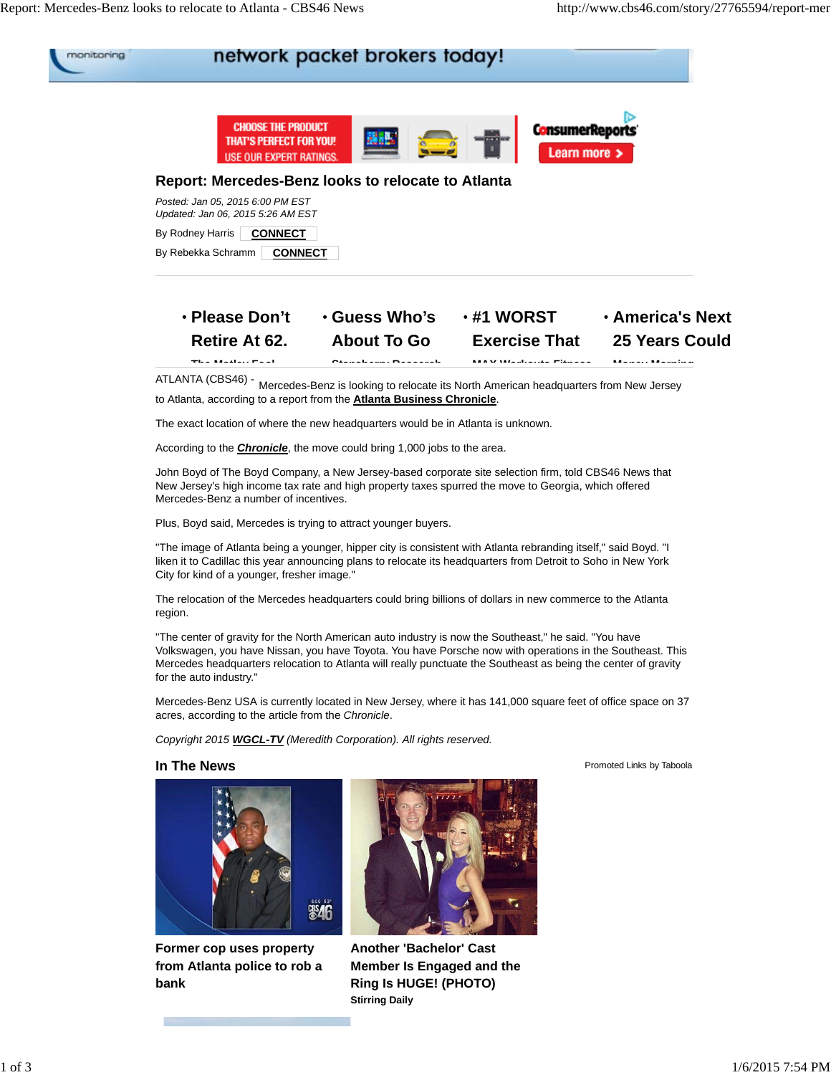

| The Metter Feet       | Clanghaum, Departed  | MAV Warksute Fituses | Manach Manaton          |
|-----------------------|----------------------|----------------------|-------------------------|
| Retire At 62.         | <b>About To Go</b>   | <b>Exercise That</b> | 25 Years Could          |
| <b>⋅ Please Don't</b> | <b>• Guess Who's</b> | $\cdot$ #1 WORST     | <b>· America's Next</b> |

ATLANTA (CBS46) - Mercedes-Benz is looking to relocate its North American headquarters from New Jersey to Atlanta, according to a report from the **Atlanta Business Chronicle**.

The exact location of where the new headquarters would be in Atlanta is unknown.

According to the *Chronicle*, the move could bring 1,000 jobs to the area.

John Boyd of The Boyd Company, a New Jersey-based corporate site selection firm, told CBS46 News that New Jersey's high income tax rate and high property taxes spurred the move to Georgia, which offered Mercedes-Benz a number of incentives.

Plus, Boyd said, Mercedes is trying to attract younger buyers.

"The image of Atlanta being a younger, hipper city is consistent with Atlanta rebranding itself," said Boyd. "I liken it to Cadillac this year announcing plans to relocate its headquarters from Detroit to Soho in New York City for kind of a younger, fresher image."

The relocation of the Mercedes headquarters could bring billions of dollars in new commerce to the Atlanta region.

"The center of gravity for the North American auto industry is now the Southeast," he said. "You have Volkswagen, you have Nissan, you have Toyota. You have Porsche now with operations in the Southeast. This Mercedes headquarters relocation to Atlanta will really punctuate the Southeast as being the center of gravity for the auto industry."

Mercedes-Benz USA is currently located in New Jersey, where it has 141,000 square feet of office space on 37 acres, according to the article from the *Chronicle*.

*Copyright 2015 WGCL-TV (Meredith Corporation). All rights reserved.*



**Former cop uses property from Atlanta police to rob a bank**



**Another 'Bachelor' Cast Member Is Engaged and the Ring Is HUGE! (PHOTO) Stirring Daily**

**In The News Promoted Links by Taboola**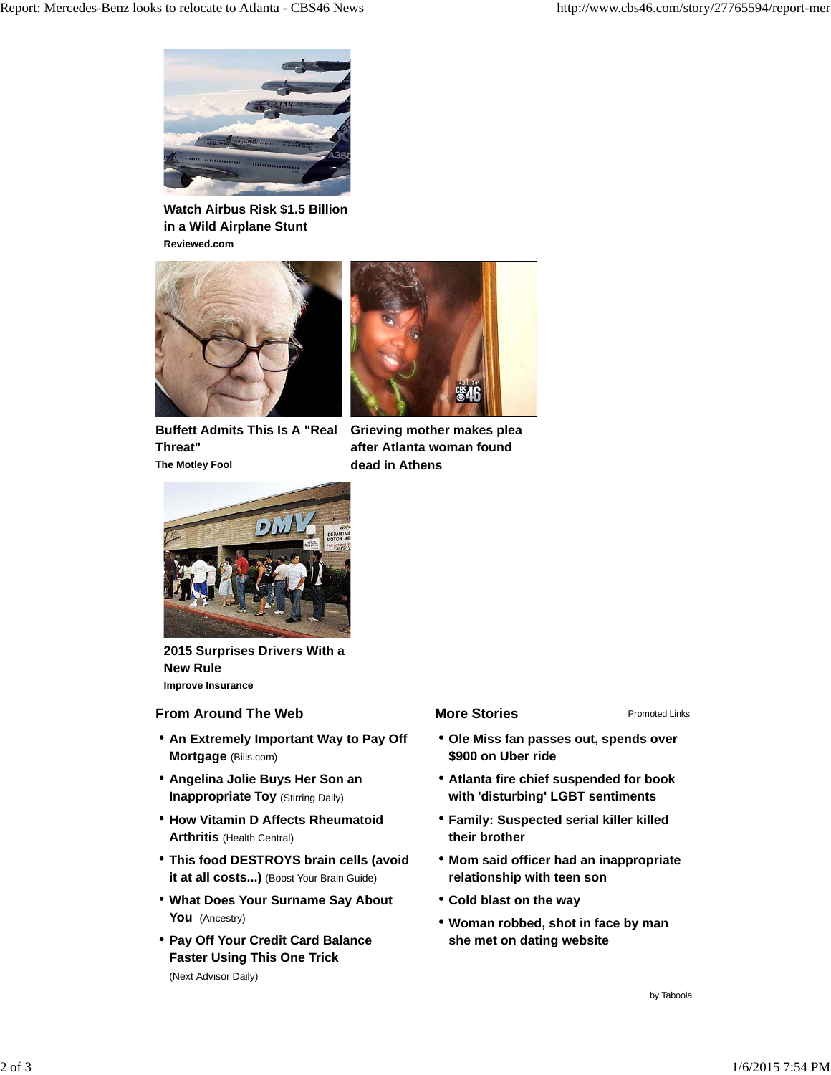

**Watch Airbus Risk \$1.5 Billion in a Wild Airplane Stunt Reviewed.com**



**Buffett Admits This Is A "Real Threat" The Motley Fool**



**Grieving mother makes plea after Atlanta woman found dead in Athens**



**2015 Surprises Drivers With a New Rule Improve Insurance**

## **From Around The Web More Stories**

- **An Extremely Important Way to Pay Off Mortgage** (Bills.com)
- **Angelina Jolie Buys Her Son an Inappropriate Toy (Stirring Daily)**
- **How Vitamin D Affects Rheumatoid Arthritis** (Health Central)
- **This food DESTROYS brain cells (avoid it at all costs...)** (Boost Your Brain Guide)
- **What Does Your Surname Say About You** (Ancestry)
- **Pay Off Your Credit Card Balance Faster Using This One Trick**  (Next Advisor Daily)

Promoted Links

- **Ole Miss fan passes out, spends over \$900 on Uber ride**
- **Atlanta fire chief suspended for book with 'disturbing' LGBT sentiments**
- **Family: Suspected serial killer killed their brother**
- **Mom said officer had an inappropriate relationship with teen son**
- **Cold blast on the way**
- **Woman robbed, shot in face by man she met on dating website**

by Taboola